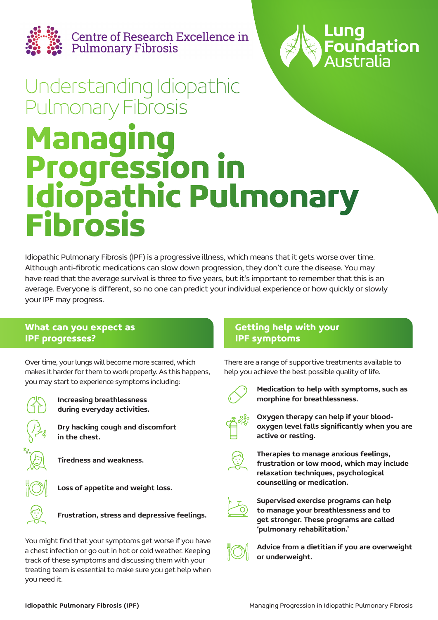

Centre of Research Excellence in<br>Pulmonary Fibrosis



# **Managing Progression in Idiopathic Pulmonary Fibrosis** Understanding Idiopathic Pulmonary Fibrosis

Idiopathic Pulmonary Fibrosis (IPF) is a progressive illness, which means that it gets worse over time. Although anti-fibrotic medications can slow down progression, they don't cure the disease. You may have read that the average survival is three to five years, but it's important to remember that this is an average. Everyone is different, so no one can predict your individual experience or how quickly or slowly your IPF may progress.

# **What can you expect as IPF progresses?**

Over time, your lungs will become more scarred, which makes it harder for them to work properly. As this happens, you may start to experience symptoms including:



Increasing breathlessness during everyday activities.

Dry hacking cough and discomfort in the chest.

Tiredness and weakness.



Loss of appetite and weight loss.

Frustration, stress and depressive feelings.

You might find that your symptoms get worse if you have a chest infection or go out in hot or cold weather. Keeping track of these symptoms and discussing them with your treating team is essential to make sure you get help when you need it.

# **Getting help with your IPF symptoms**

There are a range of supportive treatments available to help you achieve the best possible quality of life.



Medication to help with symptoms, such as morphine for breathlessness.



Oxygen therapy can help if your bloodoxygen level falls significantly when you are active or resting.



Therapies to manage anxious feelings, frustration or low mood, which may include relaxation techniques, psychological counselling or medication.



Supervised exercise programs can help to manage your breathlessness and to get stronger. These programs are called 'pulmonary rehabilitation.'



Advice from a dietitian if you are overweight or underweight.